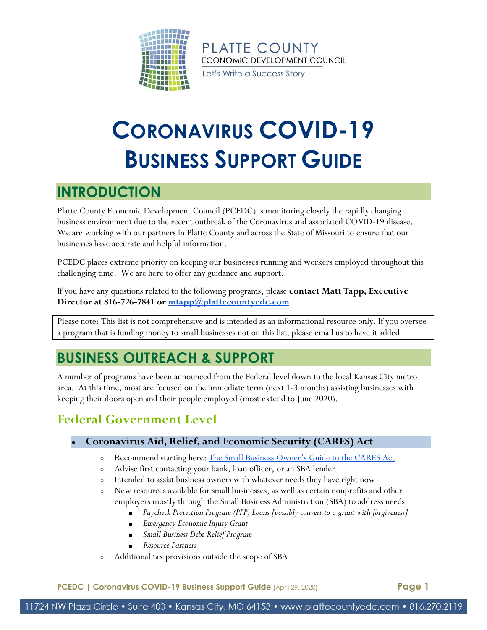

Let's Write a Success Story

# **CORONAVIRUS COVID-19 BUSINESS SUPPORT GUIDE**

# **INTRODUCTION**

Platte County Economic Development Council (PCEDC) is monitoring closely the rapidly changing business environment due to the recent outbreak of the Coronavirus and associated COVID-19 disease. We are working with our partners in Platte County and across the State of Missouri to ensure that our businesses have accurate and helpful information.

PCEDC places extreme priority on keeping our businesses running and workers employed throughout this challenging time. We are here to offer any guidance and support.

If you have any questions related to the following programs, please **contact Matt Tapp, Executive Director at 816-726-7841 or [mtapp@plattecountyedc.com](mailto:mtapp@plattecountyedc.com)**.

Please note: This list is not comprehensive and is intended as an informational resource only. If you oversee a program that is funding money to small businesses not on this list, please email us to have it added.

# **BUSINESS OUTREACH & SUPPORT**

A number of programs have been announced from the Federal level down to the local Kansas City metro area. At this time, most are focused on the immediate term (next 1-3 months) assisting businesses with keeping their doors open and their people employed (most extend to June 2020).

### **Federal Government Level**

### ● **Coronavirus Aid, Relief, and Economic Security (CARES) Act**

- o Recommend starting here: [The Small Business Owner's Guide to the CARES Act](https://www.plattecountyedc.com/wp-content/uploads/small-business-owner-s-guide-to-the-cares-act-final-.pdf)
- Advise first contacting your bank, loan officer, or an SBA lender
- Intended to assist business owners with whatever needs they have right now
- New resources available for small businesses, as well as certain nonprofits and other employers mostly through the Small Business Administration (SBA) to address needs
	- Paycheck Protection Program (PPP) Loans [possibly convert to a grant with forgiveness]
	- *Emergency Economic Injury Grant*
	- *Small Business Debt Relief Program*
	- *Resource Partners*
- Additional tax provisions outside the scope of SBA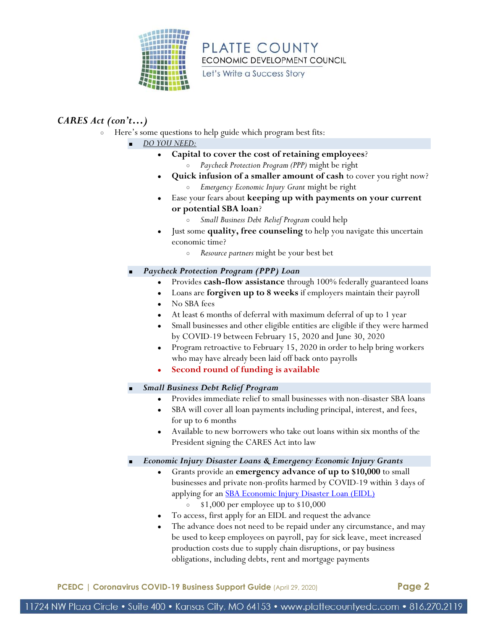

Let's Write a Success Story

### *CARES Act (con't…)*

- Here's some questions to help guide which program best fits:
	- *DO YOU NEED:*
		- Capital to cover the cost of retaining employees?
			- *Paycheck Protection Program (PPP)* might be right
		- **Quick infusion of a smaller amount of cash** to cover you right now? ○ *Emergency Economic Injury Grant* might be right
		- Ease your fears about **keeping up with payments on your current or potential SBA loan**?
			- *Small Business Debt Relief Program* could help
		- Just some **quality, free counseling** to help you navigate this uncertain economic time?
			- *Resource partners* might be your best bet
	- *Paycheck Protection Program (PPP) Loan*
		- Provides **cash-flow assistance** through 100% federally guaranteed loans
		- Loans are **forgiven up to 8 weeks** if employers maintain their payroll
		- No SBA fees
		- At least 6 months of deferral with maximum deferral of up to 1 year
		- Small businesses and other eligible entities are eligible if they were harmed by COVID-19 between February 15, 2020 and June 30, 2020
		- Program retroactive to February 15, 2020 in order to help bring workers who may have already been laid off back onto payrolls
		- **Second round of funding is available**
	- *Small Business Debt Relief Program*
		- Provides immediate relief to small businesses with non-disaster SBA loans
		- SBA will cover all loan payments including principal, interest, and fees, for up to 6 months
		- Available to new borrowers who take out loans within six months of the President signing the CARES Act into law
	- *Economic Injury Disaster Loans & Emergency Economic Injury Grants* 
		- Grants provide an **emergency advance of up to \$10,000** to small businesses and private non-profits harmed by COVID-19 within 3 days of applying for an **SBA Economic Injury Disaster Loan (EIDL)** 
			- $\circ$  \$1,000 per employee up to \$10,000
		- To access, first apply for an EIDL and request the advance
		- The advance does not need to be repaid under any circumstance, and may be used to keep employees on payroll, pay for sick leave, meet increased production costs due to supply chain disruptions, or pay business obligations, including debts, rent and mortgage payments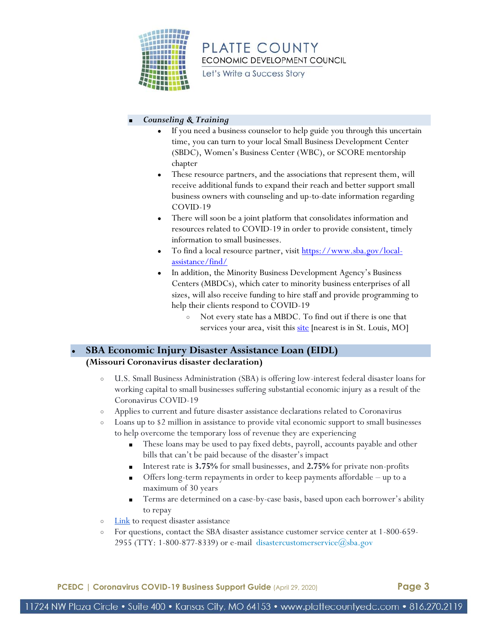

Let's Write a Success Story

#### ■ *Counseling & Training*

- If you need a business counselor to help guide you through this uncertain time, you can turn to your local Small Business Development Center (SBDC), Women's Business Center (WBC), or SCORE mentorship chapter
- These resource partners, and the associations that represent them, will receive additional funds to expand their reach and better support small business owners with counseling and up-to-date information regarding COVID-19
- There will soon be a joint platform that consolidates information and resources related to COVID-19 in order to provide consistent, timely information to small businesses.
- To find a local resource partner, visit [https://www.sba.gov/local](https://www.sba.gov/local-assistance/find/)[assistance/find/](https://www.sba.gov/local-assistance/find/)
- In addition, the Minority Business Development Agency's Business Centers (MBDCs), which cater to minority business enterprises of all sizes, will also receive funding to hire staff and provide programming to help their clients respond to COVID-19
	- Not every state has a MBDC. To find out if there is one that services your area, visit thi[s site](https://www.mbda.gov/businesscenters#4/34.05/-111.95) [nearest is in St. Louis, MO]

### <span id="page-2-0"></span>**SBA Economic Injury Disaster Assistance Loan (EIDL) (Missouri Coronavirus disaster declaration)**

- U.S. Small Business Administration (SBA) is offering low-interest federal disaster loans for working capital to small businesses suffering substantial economic injury as a result of the Coronavirus COVID-19
- Applies to current and future disaster assistance declarations related to Coronavirus
- Loans up to \$2 million in assistance to provide vital economic support to small businesses to help overcome the temporary loss of revenue they are experiencing
	- These loans may be used to pay fixed debts, payroll, accounts payable and other bills that can't be paid because of the disaster's impact
	- Interest rate is **3.75%** for small businesses, and **2.75%** for private non-profits
	- Offers long-term repayments in order to keep payments affordable  $-$  up to a maximum of 30 years
	- Terms are determined on a case-by-case basis, based upon each borrower's ability to repay
- o **Link** to request disaster assistance
- For questions, contact the SBA disaster assistance customer service center at 1-800-659- 2955 (TTY: 1-800-877-8339) or e-mail disastercustomerservice  $\omega$ sba.gov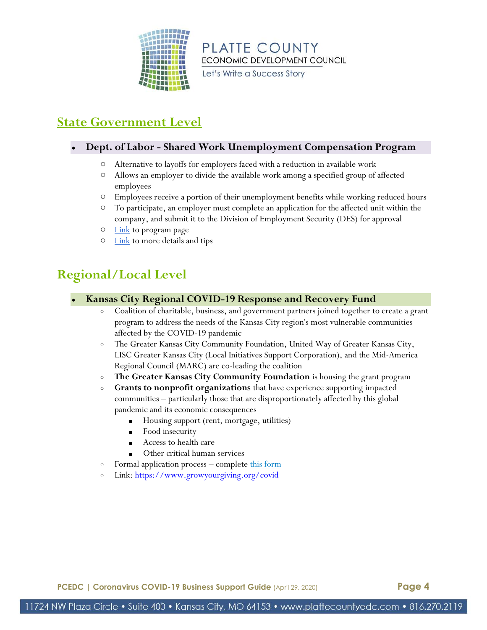

Let's Write a Success Story

### **State Government Level**

### ● **Dept. of Labor - Shared Work Unemployment Compensation Program**

- Alternative to layoffs for employers faced with a reduction in available work
- Allows an employer to divide the available work among a specified group of affected employees
- Employees receive a portion of their unemployment benefits while working reduced hours
- To participate, an employer must complete an application for the affected unit within the company, and submit it to the Division of Employment Security (DES) for approval
- $\circ$  [Link](https://labor.mo.gov/shared-work) to program page
- $\circ$  [Link](https://labor.mo.gov/sites/labor/files/pubs_forms/MODES-SW-4.pdf) to more details and tips

### **Regional/Local Level**

- **Kansas City Regional COVID-19 Response and Recovery Fund**
	- Coalition of charitable, business, and government partners joined together to create a grant program to address the needs of the Kansas City region's most vulnerable communities affected by the COVID-19 pandemic
	- The Greater Kansas City Community Foundation, United Way of Greater Kansas City, LISC Greater Kansas City (Local Initiatives Support Corporation), and the Mid-America Regional Council (MARC) are co-leading the coalition
	- **The Greater Kansas City Community Foundation** is housing the grant program
	- **Grants to nonprofit organizations** that have experience supporting impacted communities – particularly those that are disproportionately affected by this global pandemic and its economic consequences
		- Housing support (rent, mortgage, utilities)
		- Food insecurity
		- Access to health care
		- Other critical human services
	- Formal application process complete [this form](https://gkccf.kimbia.com/covid)
	- o Link[: https://www.growyourgiving.org/covid](https://www.growyourgiving.org/covid)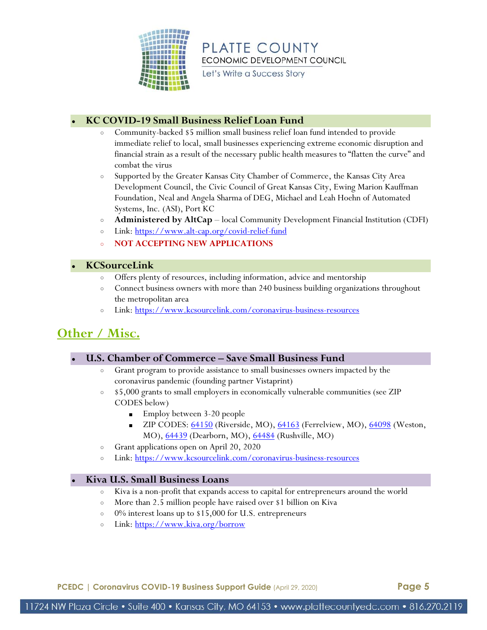

Let's Write a Success Story

### ● **KC COVID-19 Small Business Relief Loan Fund**

- Community-backed \$5 million small business relief loan fund intended to provide immediate relief to local, small businesses experiencing extreme economic disruption and financial strain as a result of the necessary public health measures to "flatten the curve" and combat the virus
- Supported by the Greater Kansas City Chamber of Commerce, the Kansas City Area Development Council, the Civic Council of Great Kansas City, Ewing Marion Kauffman Foundation, Neal and Angela Sharma of DEG, Michael and Leah Hoehn of Automated Systems, Inc. (ASI), Port KC
- **Administered by AltCap** local Community Development Financial Institution (CDFI)
- o Link[: https://www.alt-cap.org/covid-relief-fund](https://www.alt-cap.org/covid-relief-fund)
- **NOT ACCEPTING NEW APPLICATIONS**

### ● **KCSourceLink**

- Offers plenty of resources, including information, advice and mentorship
- Connect business owners with more than 240 business building organizations throughout the metropolitan area
- Link[: https://www.kcsourcelink.com/coronavirus-business-resources](https://www.kcsourcelink.com/coronavirus-business-resources)

### **Other / Misc.**

### ● **U.S. Chamber of Commerce – Save Small Business Fund**

- Grant program to provide assistance to small businesses owners impacted by the coronavirus pandemic (founding partner Vistaprint)
- \$5,000 grants to small employers in economically vulnerable communities (see ZIP CODES below)
	- Employ between 3-20 people
	- ZIP CODES: [64150](https://goo.gl/maps/Zxhca9n5Rmyg1NEy8) (Riverside, MO), [64163](https://goo.gl/maps/9ExfKaXYXjyXZbEKA) (Ferrelview, MO), [64098](https://goo.gl/maps/q6wrWxYSh79FCWYBA) (Weston, MO), [64439](https://goo.gl/maps/F3g7aFioW4SUaoWH6) (Dearborn, MO), [64484](https://goo.gl/maps/epKhZRuZhqPoKUFd6) (Rushville, MO)
- Grant applications open on April 20, 2020
- Link[: https://www.kcsourcelink.com/coronavirus-business-resources](https://www.kcsourcelink.com/coronavirus-business-resources)

### ● **Kiva U.S. Small Business Loans**

- Kiva is a non-profit that expands access to capital for entrepreneurs around the world
- More than 2.5 million people have raised over \$1 billion on Kiva
- 0% interest loans up to \$15,000 for U.S. entrepreneurs
- o Link[: https://www.kiva.org/borrow](https://www.kiva.org/borrow)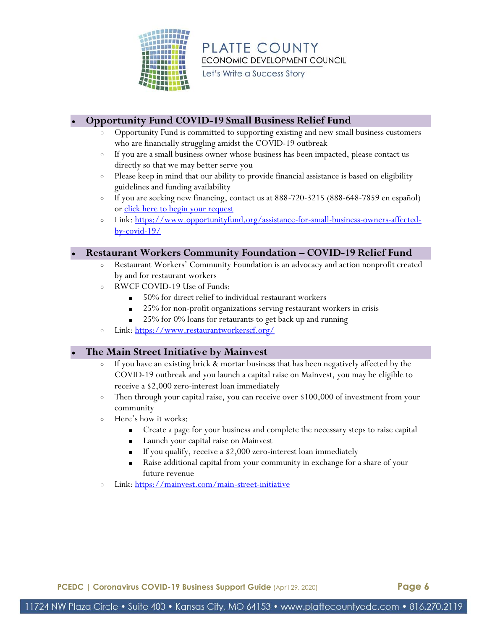

Let's Write a Success Story

### ● **Opportunity Fund COVID-19 Small Business Relief Fund**

- Opportunity Fund is committed to supporting existing and new small business customers who are financially struggling amidst the COVID-19 outbreak
- If you are a small business owner whose business has been impacted, please contact us directly so that we may better serve you
- Please keep in mind that our ability to provide financial assistance is based on eligibility guidelines and funding availability
- If you are seeking new financing, contact us at 888-720-3215 (888-648-7859 en español) or [click here to begin your request](https://opportunityfund.formstack.com/forms/loan_contact_form)
- o Link[: https://www.opportunityfund.org/assistance-for-small-business-owners-affected](https://www.opportunityfund.org/assistance-for-small-business-owners-affected-by-covid-19/)[by-covid-19/](https://www.opportunityfund.org/assistance-for-small-business-owners-affected-by-covid-19/)

### ● **Restaurant Workers Community Foundation – COVID-19 Relief Fund**

- Restaurant Workers' Community Foundation is an advocacy and action nonprofit created by and for restaurant workers
- RWCF COVID-19 Use of Funds:
	- 50% for direct relief to individual restaurant workers
	- 25% for non-profit organizations serving restaurant workers in crisis
	- 25% for 0% loans for retaurants to get back up and running
- Link[: https://www.restaurantworkerscf.org/](https://www.restaurantworkerscf.org/)

### ● **The Main Street Initiative by Mainvest**

- If you have an existing brick & mortar business that has been negatively affected by the COVID-19 outbreak and you launch a capital raise on Mainvest, you may be eligible to receive a \$2,000 zero-interest loan immediately
- Then through your capital raise, you can receive over \$100,000 of investment from your community
- Here's how it works:
	- Create a page for your business and complete the necessary steps to raise capital
	- Launch your capital raise on Mainvest
	- If you qualify, receive a \$2,000 zero-interest loan immediately
	- Raise additional capital from your community in exchange for a share of your future revenue
- Link[: https://mainvest.com/main-street-initiative](https://mainvest.com/main-street-initiative)